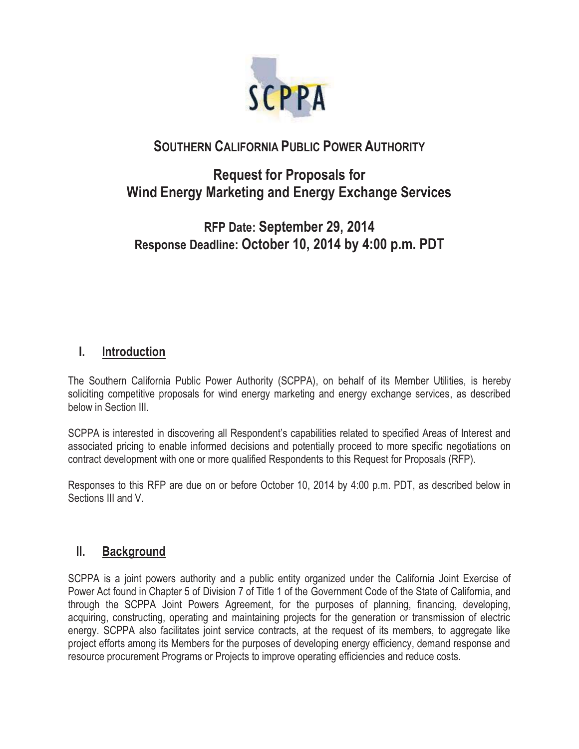

# **SOUTHERN CALIFORNIA PUBLIC POWER AUTHORITY**

# **Request for Proposals for Wind Energy Marketing and Energy Exchange Services**

# **RFP Date: September 29, 2014 Response Deadline: October 10, 2014 by 4:00 p.m. PDT**

## **I. Introduction**

The Southern California Public Power Authority (SCPPA), on behalf of its Member Utilities, is hereby soliciting competitive proposals for wind energy marketing and energy exchange services, as described below in Section III.

SCPPA is interested in discovering all Respondent's capabilities related to specified Areas of Interest and associated pricing to enable informed decisions and potentially proceed to more specific negotiations on contract development with one or more qualified Respondents to this Request for Proposals (RFP).

Responses to this RFP are due on or before October 10, 2014 by 4:00 p.m. PDT, as described below in Sections III and V.

## **II. Background**

SCPPA is a joint powers authority and a public entity organized under the California Joint Exercise of Power Act found in Chapter 5 of Division 7 of Title 1 of the Government Code of the State of California, and through the SCPPA Joint Powers Agreement, for the purposes of planning, financing, developing, acquiring, constructing, operating and maintaining projects for the generation or transmission of electric energy. SCPPA also facilitates joint service contracts, at the request of its members, to aggregate like project efforts among its Members for the purposes of developing energy efficiency, demand response and resource procurement Programs or Projects to improve operating efficiencies and reduce costs.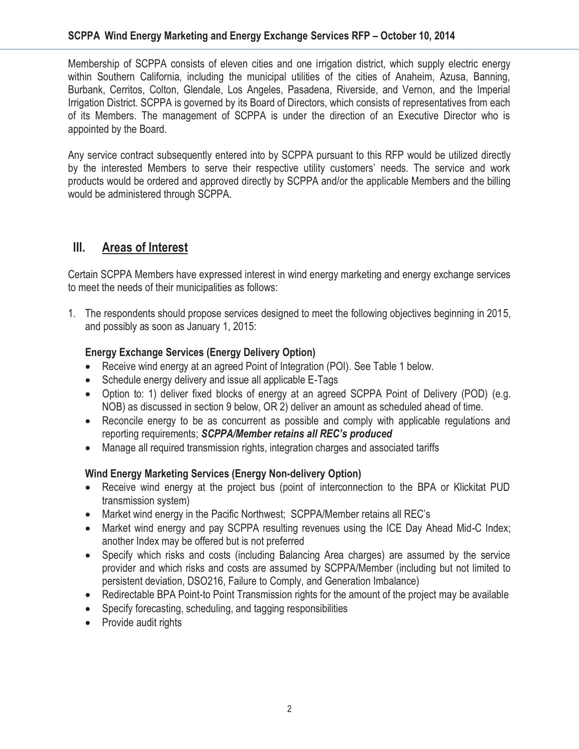#### **SCPPA Wind Energy Marketing and Energy Exchange Services RFP – October 10, 2014**

Membership of SCPPA consists of eleven cities and one irrigation district, which supply electric energy within Southern California, including the municipal utilities of the cities of Anaheim, Azusa, Banning, Burbank, Cerritos, Colton, Glendale, Los Angeles, Pasadena, Riverside, and Vernon, and the Imperial Irrigation District. SCPPA is governed by its Board of Directors, which consists of representatives from each of its Members. The management of SCPPA is under the direction of an Executive Director who is appointed by the Board.

Any service contract subsequently entered into by SCPPA pursuant to this RFP would be utilized directly by the interested Members to serve their respective utility customers' needs. The service and work products would be ordered and approved directly by SCPPA and/or the applicable Members and the billing would be administered through SCPPA.

### **III. Areas of Interest**

Certain SCPPA Members have expressed interest in wind energy marketing and energy exchange services to meet the needs of their municipalities as follows:

1. The respondents should propose services designed to meet the following objectives beginning in 2015, and possibly as soon as January 1, 2015:

#### **Energy Exchange Services (Energy Delivery Option)**

- Receive wind energy at an agreed Point of Integration (POI). See Table 1 below.
- Schedule energy delivery and issue all applicable E-Tags
- Option to: 1) deliver fixed blocks of energy at an agreed SCPPA Point of Delivery (POD) (e.g. NOB) as discussed in section 9 below, OR 2) deliver an amount as scheduled ahead of time.
- Reconcile energy to be as concurrent as possible and comply with applicable regulations and reporting requirements; *SCPPA/Member retains all REC's produced*
- Manage all required transmission rights, integration charges and associated tariffs

#### **Wind Energy Marketing Services (Energy Non-delivery Option)**

- Receive wind energy at the project bus (point of interconnection to the BPA or Klickitat PUD transmission system)
- Market wind energy in the Pacific Northwest; SCPPA/Member retains all REC's
- Market wind energy and pay SCPPA resulting revenues using the ICE Day Ahead Mid-C Index; another Index may be offered but is not preferred
- Specify which risks and costs (including Balancing Area charges) are assumed by the service provider and which risks and costs are assumed by SCPPA/Member (including but not limited to persistent deviation, DSO216, Failure to Comply, and Generation Imbalance)
- Redirectable BPA Point-to Point Transmission rights for the amount of the project may be available
- Specify forecasting, scheduling, and tagging responsibilities
- Provide audit rights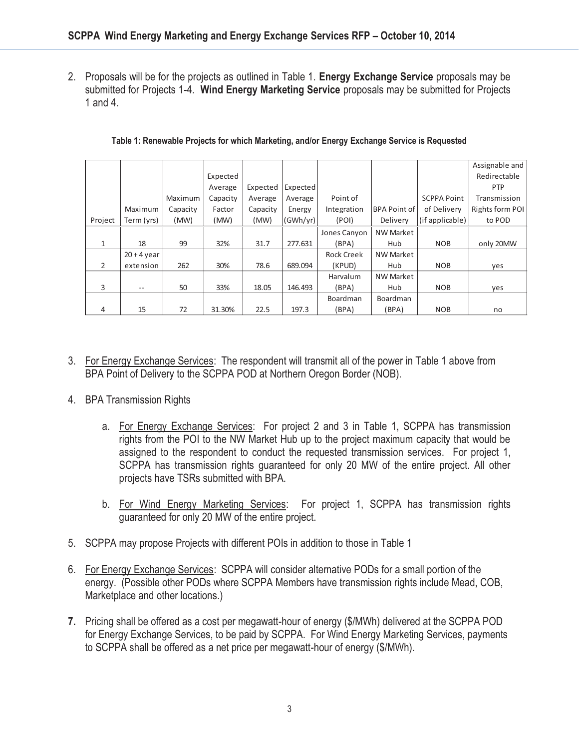2. Proposals will be for the projects as outlined in Table 1. **Energy Exchange Service** proposals may be submitted for Projects 1-4. **Wind Energy Marketing Service** proposals may be submitted for Projects 1 and 4.

|         |               |          |          |          |          |                   |                     |                    | Assignable and  |
|---------|---------------|----------|----------|----------|----------|-------------------|---------------------|--------------------|-----------------|
|         |               |          | Expected |          |          |                   |                     |                    | Redirectable    |
|         |               |          | Average  | Expected | Expected |                   |                     |                    | <b>PTP</b>      |
|         |               | Maximum  | Capacity | Average  | Average  | Point of          |                     | <b>SCPPA Point</b> | Transmission    |
|         | Maximum       | Capacity | Factor   | Capacity | Energy   | Integration       | <b>BPA Point of</b> | of Delivery        | Rights form POI |
| Project | Term (yrs)    | (MW)     | (MW)     | (MW)     | (GWh/yr) | (POI)             | Delivery            | (if applicable)    | to POD          |
|         |               |          |          |          |          | Jones Canyon      | <b>NW Market</b>    |                    |                 |
| 1       | 18            | 99       | 32%      | 31.7     | 277.631  | (BPA)             | Hub                 | <b>NOB</b>         | only 20MW       |
|         | $20 + 4$ year |          |          |          |          | <b>Rock Creek</b> | <b>NW Market</b>    |                    |                 |
| 2       | extension     | 262      | 30%      | 78.6     | 689.094  | (KPUD)            | Hub                 | <b>NOB</b>         | yes             |
|         |               |          |          |          |          | Harvalum          | <b>NW Market</b>    |                    |                 |
| 3       | $- -$         | 50       | 33%      | 18.05    | 146.493  | (BPA)             | Hub                 | <b>NOB</b>         | yes             |
|         |               |          |          |          |          | Boardman          | Boardman            |                    |                 |
| 4       | 15            | 72       | 31.30%   | 22.5     | 197.3    | (BPA)             | (BPA)               | <b>NOB</b>         | no              |

|  |  | Table 1: Renewable Projects for which Marketing, and/or Energy Exchange Service is Requested |  |
|--|--|----------------------------------------------------------------------------------------------|--|
|  |  |                                                                                              |  |
|  |  |                                                                                              |  |

- 3. For Energy Exchange Services: The respondent will transmit all of the power in Table 1 above from BPA Point of Delivery to the SCPPA POD at Northern Oregon Border (NOB).
- 4. BPA Transmission Rights
	- a. For Energy Exchange Services: For project 2 and 3 in Table 1, SCPPA has transmission rights from the POI to the NW Market Hub up to the project maximum capacity that would be assigned to the respondent to conduct the requested transmission services. For project 1, SCPPA has transmission rights guaranteed for only 20 MW of the entire project. All other projects have TSRs submitted with BPA.
	- b. For Wind Energy Marketing Services: For project 1, SCPPA has transmission rights guaranteed for only 20 MW of the entire project.
- 5. SCPPA may propose Projects with different POIs in addition to those in Table 1
- 6. For Energy Exchange Services: SCPPA will consider alternative PODs for a small portion of the energy. (Possible other PODs where SCPPA Members have transmission rights include Mead, COB, Marketplace and other locations.)
- **7.** Pricing shall be offered as a cost per megawatt-hour of energy (\$/MWh) delivered at the SCPPA POD for Energy Exchange Services, to be paid by SCPPA. For Wind Energy Marketing Services, payments to SCPPA shall be offered as a net price per megawatt-hour of energy (\$/MWh).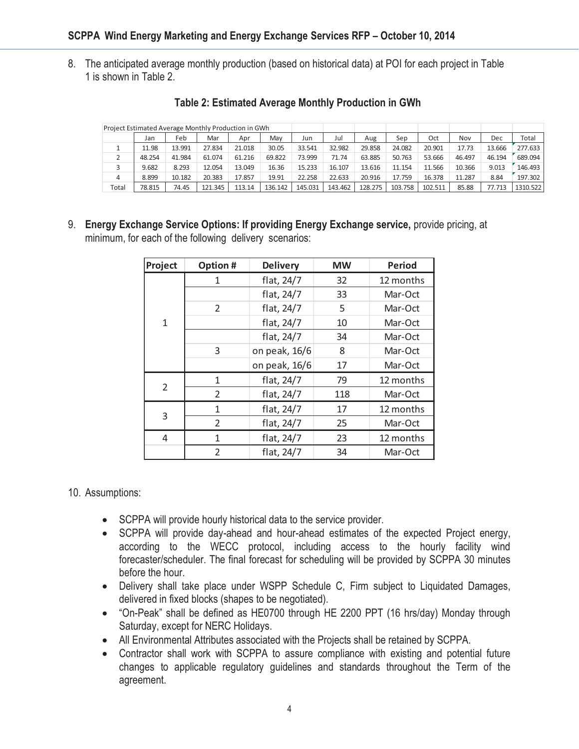8. The anticipated average monthly production (based on historical data) at POI for each project in Table 1 is shown in Table 2.

| Project Estimated Average Monthly Production in GWh |        |        |         |        |         |         |         |         |         |         |        |        |          |
|-----------------------------------------------------|--------|--------|---------|--------|---------|---------|---------|---------|---------|---------|--------|--------|----------|
|                                                     | Jan    | Feb    | Mar     | Apr    | May     | Jun     | Jul     | Aug     | Sep     | Oct     | Nov    | Dec    | Total    |
|                                                     | 11.98  | 13.991 | 27.834  | 21.018 | 30.05   | 33.541  | 32.982  | 29.858  | 24.082  | 20.901  | 17.73  | 13.666 | 277.633  |
|                                                     | 48.254 | 41.984 | 61.074  | 61.216 | 69.822  | 73.999  | 71.74   | 63.885  | 50.763  | 53.666  | 46.497 | 46.194 | 689.094  |
|                                                     | 9.682  | 8.293  | 12.054  | 13.049 | 16.36   | 15.233  | 16.107  | 13.616  | 11.154  | 11.566  | 10.366 | 9.013  | 146.493  |
| 4                                                   | 8.899  | 10.182 | 20.383  | 17.857 | 19.91   | 22.258  | 22.633  | 20.916  | 17.759  | 16.378  | 11.287 | 8.84   | 197.302  |
| Total                                               | 78.815 | 74.45  | 121.345 | 113.14 | 136.142 | 145.031 | 143.462 | 128.275 | 103.758 | 102.511 | 85.88  | 77.713 | 1310.522 |

#### **Table 2: Estimated Average Monthly Production in GWh**

9. **Energy Exchange Service Options: If providing Energy Exchange service,** provide pricing, at minimum, for each of the following delivery scenarios:

| Project        | Option #       | <b>Delivery</b> | <b>MW</b> | <b>Period</b> |  |
|----------------|----------------|-----------------|-----------|---------------|--|
|                | 1              | flat, 24/7      | 32        | 12 months     |  |
|                |                | flat, 24/7      | 33        | Mar-Oct       |  |
|                | $\mathcal{P}$  | flat, 24/7      | 5         | Mar-Oct       |  |
| $\mathbf{1}$   |                | flat, 24/7      | 10        | Mar-Oct       |  |
|                |                | flat, 24/7      | 34        | Mar-Oct       |  |
|                | 3              | on peak, 16/6   | 8         | Mar-Oct       |  |
|                |                | on peak, 16/6   | 17        | Mar-Oct       |  |
|                | 1              | flat, 24/7      | 79        | 12 months     |  |
| $\overline{2}$ | 2              | flat, 24/7      | 118       | Mar-Oct       |  |
|                | 1              | flat, 24/7      | 17        | 12 months     |  |
| 3              | 2              | flat, 24/7      | 25        | Mar-Oct       |  |
| 4              | 1              | flat, 24/7      | 23        | 12 months     |  |
|                | $\overline{2}$ | flat, 24/7      | 34        | Mar-Oct       |  |

#### 10. Assumptions:

- SCPPA will provide hourly historical data to the service provider.
- SCPPA will provide day-ahead and hour-ahead estimates of the expected Project energy, according to the WECC protocol, including access to the hourly facility wind forecaster/scheduler. The final forecast for scheduling will be provided by SCPPA 30 minutes before the hour.
- Delivery shall take place under WSPP Schedule C, Firm subject to Liquidated Damages, delivered in fixed blocks (shapes to be negotiated).
- "On-Peak" shall be defined as HE0700 through HE 2200 PPT (16 hrs/day) Monday through Saturday, except for NERC Holidays.
- All Environmental Attributes associated with the Projects shall be retained by SCPPA.
- Contractor shall work with SCPPA to assure compliance with existing and potential future changes to applicable regulatory guidelines and standards throughout the Term of the agreement.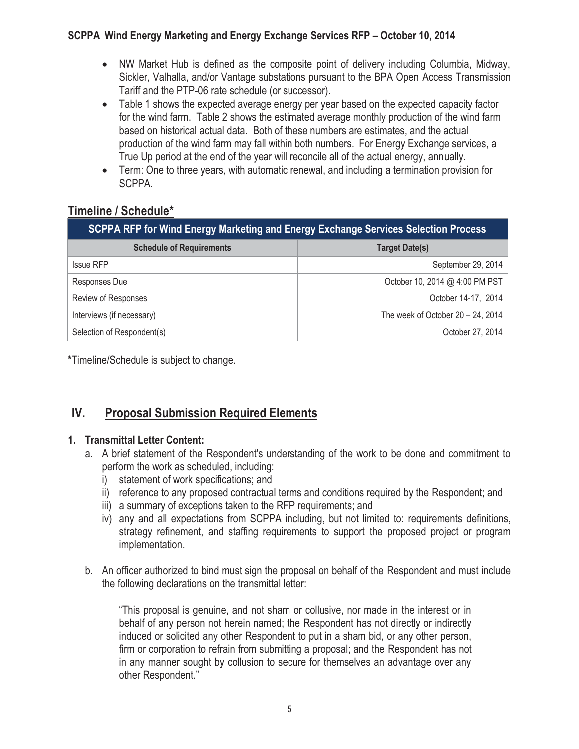- NW Market Hub is defined as the composite point of delivery including Columbia, Midway, Sickler, Valhalla, and/or Vantage substations pursuant to the BPA Open Access Transmission Tariff and the PTP-06 rate schedule (or successor).
- Table 1 shows the expected average energy per year based on the expected capacity factor for the wind farm. Table 2 shows the estimated average monthly production of the wind farm based on historical actual data. Both of these numbers are estimates, and the actual production of the wind farm may fall within both numbers. For Energy Exchange services, a True Up period at the end of the year will reconcile all of the actual energy, annually.
- Term: One to three years, with automatic renewal, and including a termination provision for SCPPA.

## **Timeline / Schedule\***

| SCPPA RFP for Wind Energy Marketing and Energy Exchange Services Selection Process |                                      |  |  |  |  |
|------------------------------------------------------------------------------------|--------------------------------------|--|--|--|--|
| <b>Schedule of Requirements</b>                                                    | <b>Target Date(s)</b>                |  |  |  |  |
| <b>Issue RFP</b>                                                                   | September 29, 2014                   |  |  |  |  |
| Responses Due                                                                      | October 10, 2014 @ 4:00 PM PST       |  |  |  |  |
| Review of Responses                                                                | October 14-17, 2014                  |  |  |  |  |
| Interviews (if necessary)                                                          | The week of October $20 - 24$ , 2014 |  |  |  |  |
| Selection of Respondent(s)                                                         | October 27, 2014                     |  |  |  |  |

**\***Timeline/Schedule is subject to change.

# **IV. Proposal Submission Required Elements**

### **1. Transmittal Letter Content:**

- a. A brief statement of the Respondent's understanding of the work to be done and commitment to perform the work as scheduled, including:
	- i) statement of work specifications; and
	- ii) reference to any proposed contractual terms and conditions required by the Respondent; and
	- iii) a summary of exceptions taken to the RFP requirements; and
	- iv) any and all expectations from SCPPA including, but not limited to: requirements definitions, strategy refinement, and staffing requirements to support the proposed project or program implementation.
- b. An officer authorized to bind must sign the proposal on behalf of the Respondent and must include the following declarations on the transmittal letter:

"This proposal is genuine, and not sham or collusive, nor made in the interest or in behalf of any person not herein named; the Respondent has not directly or indirectly induced or solicited any other Respondent to put in a sham bid, or any other person, firm or corporation to refrain from submitting a proposal; and the Respondent has not in any manner sought by collusion to secure for themselves an advantage over any other Respondent."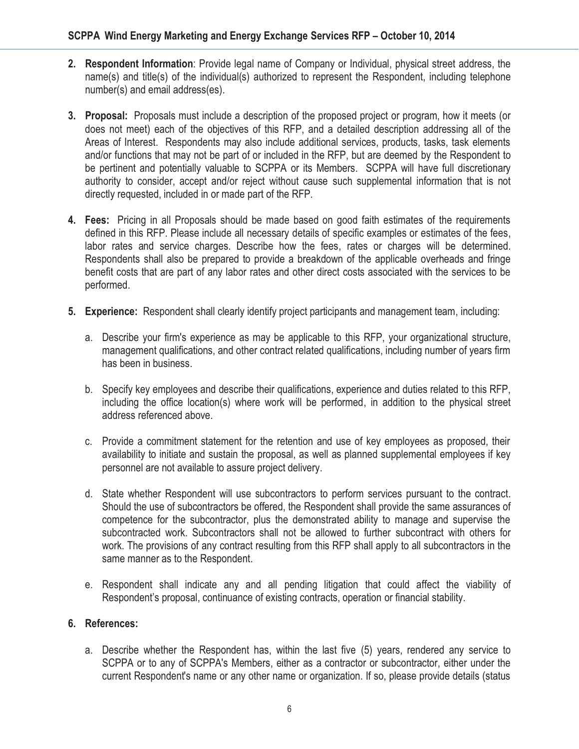- **2. Respondent Information**: Provide legal name of Company or Individual, physical street address, the name(s) and title(s) of the individual(s) authorized to represent the Respondent, including telephone number(s) and email address(es).
- **3. Proposal:** Proposals must include a description of the proposed project or program, how it meets (or does not meet) each of the objectives of this RFP, and a detailed description addressing all of the Areas of Interest. Respondents may also include additional services, products, tasks, task elements and/or functions that may not be part of or included in the RFP, but are deemed by the Respondent to be pertinent and potentially valuable to SCPPA or its Members. SCPPA will have full discretionary authority to consider, accept and/or reject without cause such supplemental information that is not directly requested, included in or made part of the RFP.
- **4. Fees:** Pricing in all Proposals should be made based on good faith estimates of the requirements defined in this RFP. Please include all necessary details of specific examples or estimates of the fees, labor rates and service charges. Describe how the fees, rates or charges will be determined. Respondents shall also be prepared to provide a breakdown of the applicable overheads and fringe benefit costs that are part of any labor rates and other direct costs associated with the services to be performed.
- **5. Experience:** Respondent shall clearly identify project participants and management team, including:
	- a. Describe your firm's experience as may be applicable to this RFP, your organizational structure, management qualifications, and other contract related qualifications, including number of years firm has been in business.
	- b. Specify key employees and describe their qualifications, experience and duties related to this RFP, including the office location(s) where work will be performed, in addition to the physical street address referenced above.
	- c. Provide a commitment statement for the retention and use of key employees as proposed, their availability to initiate and sustain the proposal, as well as planned supplemental employees if key personnel are not available to assure project delivery.
	- d. State whether Respondent will use subcontractors to perform services pursuant to the contract. Should the use of subcontractors be offered, the Respondent shall provide the same assurances of competence for the subcontractor, plus the demonstrated ability to manage and supervise the subcontracted work. Subcontractors shall not be allowed to further subcontract with others for work. The provisions of any contract resulting from this RFP shall apply to all subcontractors in the same manner as to the Respondent.
	- e. Respondent shall indicate any and all pending litigation that could affect the viability of Respondent's proposal, continuance of existing contracts, operation or financial stability.

#### **6. References:**

a. Describe whether the Respondent has, within the last five (5) years, rendered any service to SCPPA or to any of SCPPA's Members, either as a contractor or subcontractor, either under the current Respondent's name or any other name or organization. If so, please provide details (status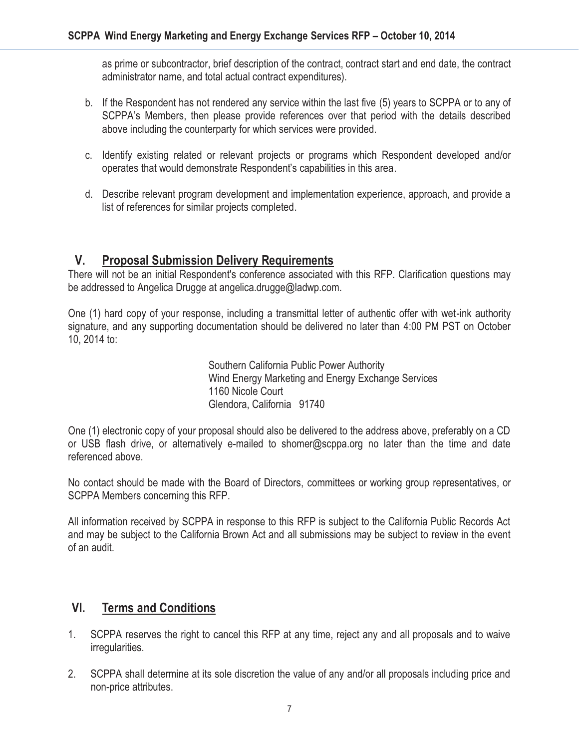as prime or subcontractor, brief description of the contract, contract start and end date, the contract administrator name, and total actual contract expenditures).

- b. If the Respondent has not rendered any service within the last five (5) years to SCPPA or to any of SCPPA's Members, then please provide references over that period with the details described above including the counterparty for which services were provided.
- c. Identify existing related or relevant projects or programs which Respondent developed and/or operates that would demonstrate Respondent's capabilities in this area.
- d. Describe relevant program development and implementation experience, approach, and provide a list of references for similar projects completed.

### **V. Proposal Submission Delivery Requirements**

There will not be an initial Respondent's conference associated with this RFP. Clarification questions may be addressed to Angelica Drugge at angelica.drugge@ladwp.com.

One (1) hard copy of your response, including a transmittal letter of authentic offer with wet-ink authority signature, and any supporting documentation should be delivered no later than 4:00 PM PST on October 10, 2014 to:

> Southern California Public Power Authority Wind Energy Marketing and Energy Exchange Services 1160 Nicole Court Glendora, California 91740

One (1) electronic copy of your proposal should also be delivered to the address above, preferably on a CD or USB flash drive, or alternatively e-mailed to shomer@scppa.org no later than the time and date referenced above.

No contact should be made with the Board of Directors, committees or working group representatives, or SCPPA Members concerning this RFP.

All information received by SCPPA in response to this RFP is subject to the California Public Records Act and may be subject to the California Brown Act and all submissions may be subject to review in the event of an audit.

## **VI. Terms and Conditions**

- 1. SCPPA reserves the right to cancel this RFP at any time, reject any and all proposals and to waive irregularities.
- 2. SCPPA shall determine at its sole discretion the value of any and/or all proposals including price and non-price attributes.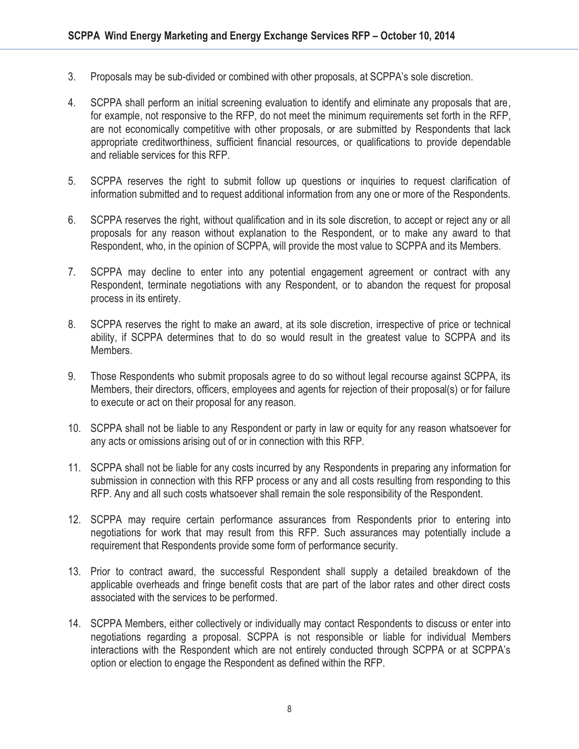- 3. Proposals may be sub-divided or combined with other proposals, at SCPPA's sole discretion.
- 4. SCPPA shall perform an initial screening evaluation to identify and eliminate any proposals that are, for example, not responsive to the RFP, do not meet the minimum requirements set forth in the RFP, are not economically competitive with other proposals, or are submitted by Respondents that lack appropriate creditworthiness, sufficient financial resources, or qualifications to provide dependable and reliable services for this RFP.
- 5. SCPPA reserves the right to submit follow up questions or inquiries to request clarification of information submitted and to request additional information from any one or more of the Respondents.
- 6. SCPPA reserves the right, without qualification and in its sole discretion, to accept or reject any or all proposals for any reason without explanation to the Respondent, or to make any award to that Respondent, who, in the opinion of SCPPA, will provide the most value to SCPPA and its Members.
- 7. SCPPA may decline to enter into any potential engagement agreement or contract with any Respondent, terminate negotiations with any Respondent, or to abandon the request for proposal process in its entirety.
- 8. SCPPA reserves the right to make an award, at its sole discretion, irrespective of price or technical ability, if SCPPA determines that to do so would result in the greatest value to SCPPA and its Members.
- 9. Those Respondents who submit proposals agree to do so without legal recourse against SCPPA, its Members, their directors, officers, employees and agents for rejection of their proposal(s) or for failure to execute or act on their proposal for any reason.
- 10. SCPPA shall not be liable to any Respondent or party in law or equity for any reason whatsoever for any acts or omissions arising out of or in connection with this RFP.
- 11. SCPPA shall not be liable for any costs incurred by any Respondents in preparing any information for submission in connection with this RFP process or any and all costs resulting from responding to this RFP. Any and all such costs whatsoever shall remain the sole responsibility of the Respondent.
- 12. SCPPA may require certain performance assurances from Respondents prior to entering into negotiations for work that may result from this RFP. Such assurances may potentially include a requirement that Respondents provide some form of performance security.
- 13. Prior to contract award, the successful Respondent shall supply a detailed breakdown of the applicable overheads and fringe benefit costs that are part of the labor rates and other direct costs associated with the services to be performed.
- 14. SCPPA Members, either collectively or individually may contact Respondents to discuss or enter into negotiations regarding a proposal. SCPPA is not responsible or liable for individual Members interactions with the Respondent which are not entirely conducted through SCPPA or at SCPPA's option or election to engage the Respondent as defined within the RFP.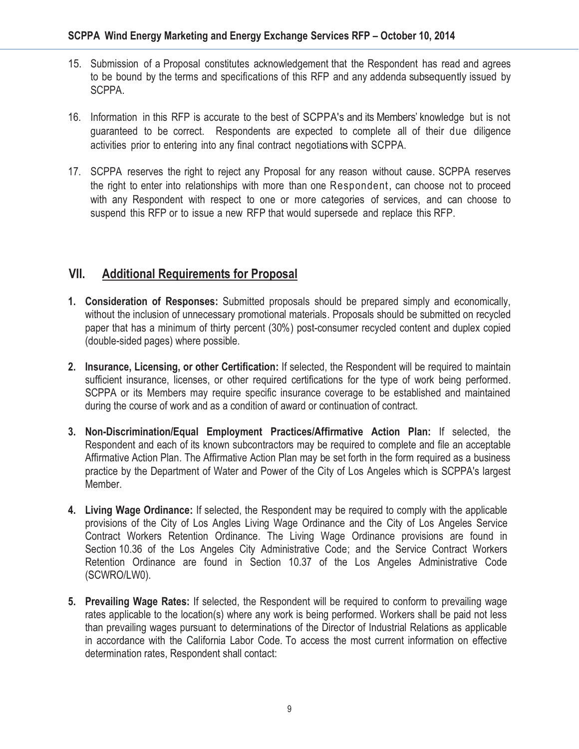- 15. Submission of a Proposal constitutes acknowledgement that the Respondent has read and agrees to be bound by the terms and specifications of this RFP and any addenda subsequently issued by SCPPA.
- 16. Information in this RFP is accurate to the best of SCPPA's and its Members' knowledge but is not guaranteed to be correct. Respondents are expected to complete all of their due diligence activities prior to entering into any final contract negotiations with SCPPA.
- 17. SCPPA reserves the right to reject any Proposal for any reason without cause. SCPPA reserves the right to enter into relationships with more than one Respondent, can choose not to proceed with any Respondent with respect to one or more categories of services, and can choose to suspend this RFP or to issue a new RFP that would supersede and replace this RFP.

### **VII. Additional Requirements for Proposal**

- **1. Consideration of Responses:** Submitted proposals should be prepared simply and economically, without the inclusion of unnecessary promotional materials. Proposals should be submitted on recycled paper that has a minimum of thirty percent (30%) post-consumer recycled content and duplex copied (double-sided pages) where possible.
- **2. Insurance, Licensing, or other Certification:** If selected, the Respondent will be required to maintain sufficient insurance, licenses, or other required certifications for the type of work being performed. SCPPA or its Members may require specific insurance coverage to be established and maintained during the course of work and as a condition of award or continuation of contract.
- **3. Non-Discrimination/Equal Employment Practices/Affirmative Action Plan:** If selected, the Respondent and each of its known subcontractors may be required to complete and file an acceptable Affirmative Action Plan. The Affirmative Action Plan may be set forth in the form required as a business practice by the Department of Water and Power of the City of Los Angeles which is SCPPA's largest Member.
- **4. Living Wage Ordinance:** If selected, the Respondent may be required to comply with the applicable provisions of the City of Los Angles Living Wage Ordinance and the City of Los Angeles Service Contract Workers Retention Ordinance. The Living Wage Ordinance provisions are found in Section 10.36 of the Los Angeles City Administrative Code; and the Service Contract Workers Retention Ordinance are found in Section 10.37 of the Los Angeles Administrative Code (SCWRO/LW0).
- **5. Prevailing Wage Rates:** If selected, the Respondent will be required to conform to prevailing wage rates applicable to the location(s) where any work is being performed. Workers shall be paid not less than prevailing wages pursuant to determinations of the Director of Industrial Relations as applicable in accordance with the California Labor Code. To access the most current information on effective determination rates, Respondent shall contact: